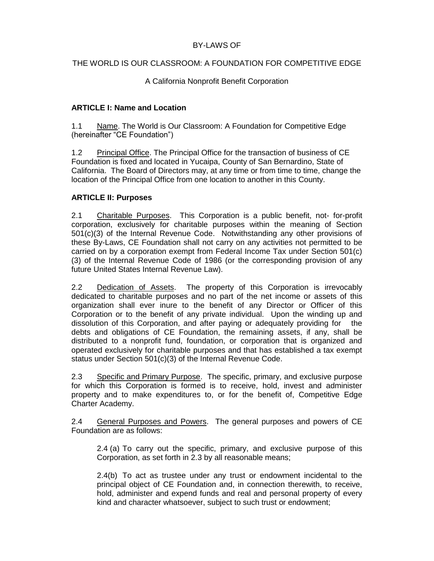## **BY-LAWS OF**

### THE WORLD IS OUR CLASSROOM: A FOUNDATION FOR COMPETITIVE EDGE

### A California Nonprofit Benefit Corporation

### **ARTICLE I: Name and Location**

1.1 Name. The World is Our Classroom: A Foundation for Competitive Edge (hereinafter "CE Foundation")

1.2 Principal Office. The Principal Office for the transaction of business of CE Foundation is fixed and located in Yucaipa, County of San Bernardino, State of California. The Board of Directors may, at any time or from time to time, change the location of the Principal Office from one location to another in this County.

### **ARTICLE II: Purposes**

2.1 Charitable Purposes. This Corporation is a public benefit, not- for-profit corporation, exclusively for charitable purposes within the meaning of Section 501(c)(3) of the Internal Revenue Code. Notwithstanding any other provisions of these By-Laws, CE Foundation shall not carry on any activities not permitted to be carried on by a corporation exempt from Federal Income Tax under Section 501(c) (3) of the Internal Revenue Code of 1986 (or the corresponding provision of any future United States Internal Revenue Law).

2.2 Dedication of Assets. The property of this Corporation is irrevocably dedicated to charitable purposes and no part of the net income or assets of this organization shall ever inure to the benefit of any Director or Officer of this Corporation or to the benefit of any private individual. Upon the winding up and dissolution of this Corporation, and after paying or adequately providing for the debts and obligations of CE Foundation, the remaining assets, if any, shall be distributed to a nonprofit fund, foundation, or corporation that is organized and operated exclusively for charitable purposes and that has established a tax exempt status under Section 501(c)(3) of the Internal Revenue Code.

2.3 Specific and Primary Purpose. The specific, primary, and exclusive purpose for which this Corporation is formed is to receive, hold, invest and administer property and to make expenditures to, or for the benefit of, Competitive Edge Charter Academy.

2.4 General Purposes and Powers. The general purposes and powers of CE Foundation are as follows:

2.4 (a) To carry out the specific, primary, and exclusive purpose of this Corporation, as set forth in 2.3 by all reasonable means;

2.4(b) To act as trustee under any trust or endowment incidental to the principal object of CE Foundation and, in connection therewith, to receive, hold, administer and expend funds and real and personal property of every kind and character whatsoever, subject to such trust or endowment;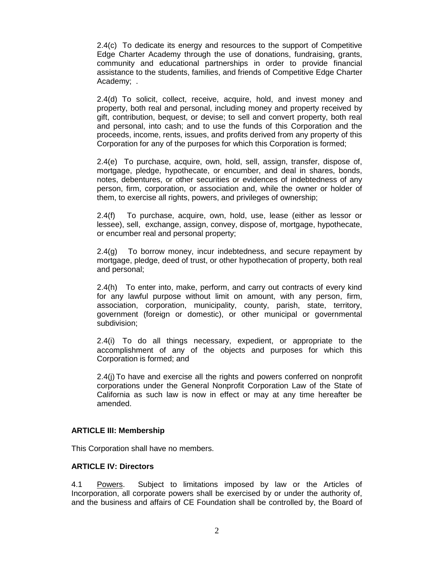2.4(c) To dedicate its energy and resources to the support of Competitive Edge Charter Academy through the use of donations, fundraising, grants, community and educational partnerships in order to provide financial assistance to the students, families, and friends of Competitive Edge Charter Academy; .

2.4(d) To solicit, collect, receive, acquire, hold, and invest money and property, both real and personal, including money and property received by gift, contribution, bequest, or devise; to sell and convert property, both real and personal, into cash; and to use the funds of this Corporation and the proceeds, income, rents, issues, and profits derived from any property of this Corporation for any of the purposes for which this Corporation is formed;

2.4(e) To purchase, acquire, own, hold, sell, assign, transfer, dispose of, mortgage, pledge, hypothecate, or encumber, and deal in shares, bonds, notes, debentures, or other securities or evidences of indebtedness of any person, firm, corporation, or association and, while the owner or holder of them, to exercise all rights, powers, and privileges of ownership;

2.4(f) To purchase, acquire, own, hold, use, lease (either as lessor or lessee), sell, exchange, assign, convey, dispose of, mortgage, hypothecate, or encumber real and personal property;

2.4(g) To borrow money, incur indebtedness, and secure repayment by mortgage, pledge, deed of trust, or other hypothecation of property, both real and personal;

2.4(h) To enter into, make, perform, and carry out contracts of every kind for any lawful purpose without limit on amount, with any person, firm, association, corporation, municipality, county, parish, state, territory, government (foreign or domestic), or other municipal or governmental subdivision;

2.4(i) To do all things necessary, expedient, or appropriate to the accomplishment of any of the objects and purposes for which this Corporation is formed; and

2.4(j) To have and exercise all the rights and powers conferred on nonprofit corporations under the General Nonprofit Corporation Law of the State of California as such law is now in effect or may at any time hereafter be amended.

### **ARTICLE III: Membership**

This Corporation shall have no members.

#### **ARTICLE IV: Directors**

4.1 Powers. Subject to limitations imposed by law or the Articles of Incorporation, all corporate powers shall be exercised by or under the authority of, and the business and affairs of CE Foundation shall be controlled by, the Board of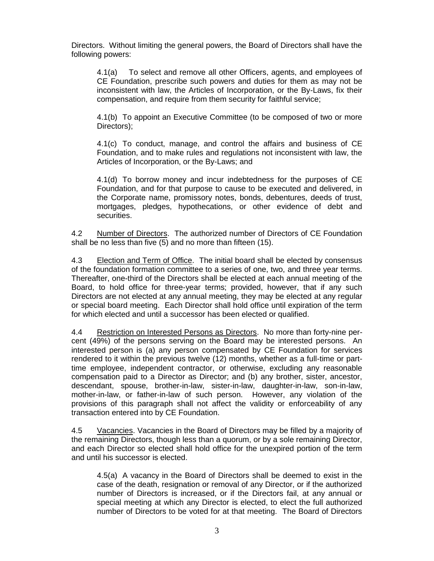Directors. Without limiting the general powers, the Board of Directors shall have the following powers:

4.1(a) To select and remove all other Officers, agents, and employees of CE Foundation, prescribe such powers and duties for them as may not be inconsistent with law, the Articles of Incorporation, or the By-Laws, fix their compensation, and require from them security for faithful service;

4.1(b) To appoint an Executive Committee (to be composed of two or more Directors);

4.1(c) To conduct, manage, and control the affairs and business of CE Foundation, and to make rules and regulations not inconsistent with law, the Articles of Incorporation, or the By-Laws; and

4.1(d) To borrow money and incur indebtedness for the purposes of CE Foundation, and for that purpose to cause to be executed and delivered, in the Corporate name, promissory notes, bonds, debentures, deeds of trust, mortgages, pledges, hypothecations, or other evidence of debt and securities.

4.2 Number of Directors. The authorized number of Directors of CE Foundation shall be no less than five (5) and no more than fifteen (15).

4.3 Election and Term of Office. The initial board shall be elected by consensus of the foundation formation committee to a series of one, two, and three year terms. Thereafter, one-third of the Directors shall be elected at each annual meeting of the Board, to hold office for three-year terms; provided, however, that if any such Directors are not elected at any annual meeting, they may be elected at any regular or special board meeting. Each Director shall hold office until expiration of the term for which elected and until a successor has been elected or qualified.

4.4 Restriction on Interested Persons as Directors. No more than forty-nine percent (49%) of the persons serving on the Board may be interested persons. An interested person is (a) any person compensated by CE Foundation for services rendered to it within the previous twelve (12) months, whether as a full-time or parttime employee, independent contractor, or otherwise, excluding any reasonable compensation paid to a Director as Director; and (b) any brother, sister, ancestor, descendant, spouse, brother-in-law, sister-in-law, daughter-in-law, son-in-law, mother-in-law, or father-in-law of such person. However, any violation of the provisions of this paragraph shall not affect the validity or enforceability of any transaction entered into by CE Foundation.

4.5 Vacancies. Vacancies in the Board of Directors may be filled by a majority of the remaining Directors, though less than a quorum, or by a sole remaining Director, and each Director so elected shall hold office for the unexpired portion of the term and until his successor is elected.

4.5(a) A vacancy in the Board of Directors shall be deemed to exist in the case of the death, resignation or removal of any Director, or if the authorized number of Directors is increased, or if the Directors fail, at any annual or special meeting at which any Director is elected, to elect the full authorized number of Directors to be voted for at that meeting. The Board of Directors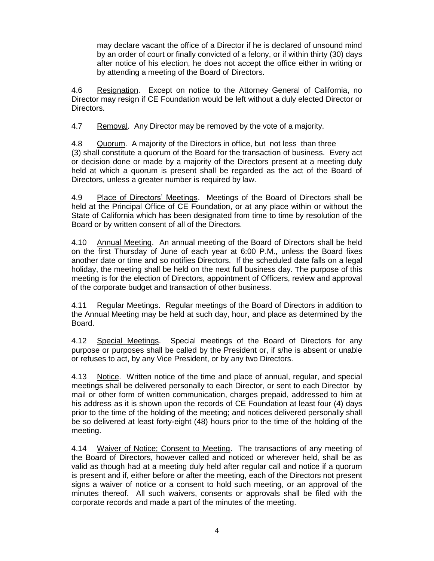may declare vacant the office of a Director if he is declared of unsound mind by an order of court or finally convicted of a felony, or if within thirty (30) days after notice of his election, he does not accept the office either in writing or by attending a meeting of the Board of Directors.

4.6 Resignation. Except on notice to the Attorney General of California, no Director may resign if CE Foundation would be left without a duly elected Director or Directors.

4.7 Removal. Any Director may be removed by the vote of a majority.

4.8 Quorum. A majority of the Directors in office, but not less than three (3) shall constitute a quorum of the Board for the transaction of business. Every act or decision done or made by a majority of the Directors present at a meeting duly held at which a quorum is present shall be regarded as the act of the Board of Directors, unless a greater number is required by law.

4.9 Place of Directors' Meetings. Meetings of the Board of Directors shall be held at the Principal Office of CE Foundation, or at any place within or without the State of California which has been designated from time to time by resolution of the Board or by written consent of all of the Directors.

4.10 Annual Meeting. An annual meeting of the Board of Directors shall be held on the first Thursday of June of each year at 6:00 P.M., unless the Board fixes another date or time and so notifies Directors. If the scheduled date falls on a legal holiday, the meeting shall be held on the next full business day. The purpose of this meeting is for the election of Directors, appointment of Officers, review and approval of the corporate budget and transaction of other business.

4.11 Regular Meetings. Regular meetings of the Board of Directors in addition to the Annual Meeting may be held at such day, hour, and place as determined by the Board.

4.12 Special Meetings. Special meetings of the Board of Directors for any purpose or purposes shall be called by the President or, if s/he is absent or unable or refuses to act, by any Vice President, or by any two Directors.

4.13 Notice. Written notice of the time and place of annual, regular, and special meetings shall be delivered personally to each Director, or sent to each Director by mail or other form of written communication, charges prepaid, addressed to him at his address as it is shown upon the records of CE Foundation at least four (4) days prior to the time of the holding of the meeting; and notices delivered personally shall be so delivered at least forty-eight (48) hours prior to the time of the holding of the meeting.

4.14 Waiver of Notice; Consent to Meeting. The transactions of any meeting of the Board of Directors, however called and noticed or wherever held, shall be as valid as though had at a meeting duly held after regular call and notice if a quorum is present and if, either before or after the meeting, each of the Directors not present signs a waiver of notice or a consent to hold such meeting, or an approval of the minutes thereof. All such waivers, consents or approvals shall be filed with the corporate records and made a part of the minutes of the meeting.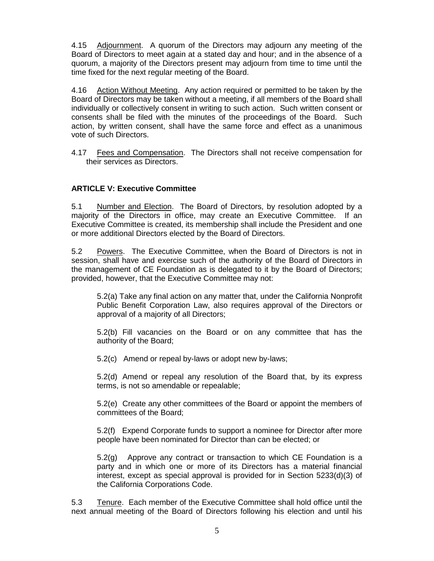4.15 Adjournment. A quorum of the Directors may adjourn any meeting of the Board of Directors to meet again at a stated day and hour; and in the absence of a quorum, a majority of the Directors present may adjourn from time to time until the time fixed for the next regular meeting of the Board.

4.16 Action Without Meeting. Any action required or permitted to be taken by the Board of Directors may be taken without a meeting, if all members of the Board shall individually or collectively consent in writing to such action. Such written consent or consents shall be filed with the minutes of the proceedings of the Board. Such action, by written consent, shall have the same force and effect as a unanimous vote of such Directors.

4.17 Fees and Compensation. The Directors shall not receive compensation for their services as Directors.

## **ARTICLE V: Executive Committee**

5.1 Number and Election. The Board of Directors, by resolution adopted by a majority of the Directors in office, may create an Executive Committee. If an Executive Committee is created, its membership shall include the President and one or more additional Directors elected by the Board of Directors.

5.2 Powers. The Executive Committee, when the Board of Directors is not in session, shall have and exercise such of the authority of the Board of Directors in the management of CE Foundation as is delegated to it by the Board of Directors; provided, however, that the Executive Committee may not:

5.2(a) Take any final action on any matter that, under the California Nonprofit Public Benefit Corporation Law, also requires approval of the Directors or approval of a majority of all Directors;

5.2(b) Fill vacancies on the Board or on any committee that has the authority of the Board;

5.2(c) Amend or repeal by-laws or adopt new by-laws;

5.2(d) Amend or repeal any resolution of the Board that, by its express terms, is not so amendable or repealable;

5.2(e) Create any other committees of the Board or appoint the members of committees of the Board;

5.2(f) Expend Corporate funds to support a nominee for Director after more people have been nominated for Director than can be elected; or

5.2(g) Approve any contract or transaction to which CE Foundation is a party and in which one or more of its Directors has a material financial interest, except as special approval is provided for in Section 5233(d)(3) of the California Corporations Code.

5.3 Tenure. Each member of the Executive Committee shall hold office until the next annual meeting of the Board of Directors following his election and until his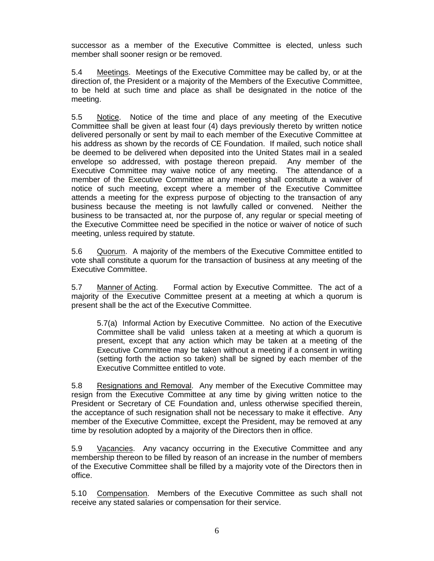successor as a member of the Executive Committee is elected, unless such member shall sooner resign or be removed.

5.4 Meetings. Meetings of the Executive Committee may be called by, or at the direction of, the President or a majority of the Members of the Executive Committee, to be held at such time and place as shall be designated in the notice of the meeting.

5.5 Notice. Notice of the time and place of any meeting of the Executive Committee shall be given at least four (4) days previously thereto by written notice delivered personally or sent by mail to each member of the Executive Committee at his address as shown by the records of CE Foundation. If mailed, such notice shall be deemed to be delivered when deposited into the United States mail in a sealed envelope so addressed, with postage thereon prepaid. Any member of the Executive Committee may waive notice of any meeting. The attendance of a member of the Executive Committee at any meeting shall constitute a waiver of notice of such meeting, except where a member of the Executive Committee attends a meeting for the express purpose of objecting to the transaction of any business because the meeting is not lawfully called or convened. Neither the business to be transacted at, nor the purpose of, any regular or special meeting of the Executive Committee need be specified in the notice or waiver of notice of such meeting, unless required by statute.

5.6 Quorum. A majority of the members of the Executive Committee entitled to vote shall constitute a quorum for the transaction of business at any meeting of the Executive Committee.

5.7 Manner of Acting. Formal action by Executive Committee. The act of a majority of the Executive Committee present at a meeting at which a quorum is present shall be the act of the Executive Committee.

5.7(a) Informal Action by Executive Committee. No action of the Executive Committee shall be valid unless taken at a meeting at which a quorum is present, except that any action which may be taken at a meeting of the Executive Committee may be taken without a meeting if a consent in writing (setting forth the action so taken) shall be signed by each member of the Executive Committee entitled to vote.

5.8 Resignations and Removal. Any member of the Executive Committee may resign from the Executive Committee at any time by giving written notice to the President or Secretary of CE Foundation and, unless otherwise specified therein, the acceptance of such resignation shall not be necessary to make it effective. Any member of the Executive Committee, except the President, may be removed at any time by resolution adopted by a majority of the Directors then in office.

5.9 Vacancies. Any vacancy occurring in the Executive Committee and any membership thereon to be filled by reason of an increase in the number of members of the Executive Committee shall be filled by a majority vote of the Directors then in office.

5.10 Compensation. Members of the Executive Committee as such shall not receive any stated salaries or compensation for their service.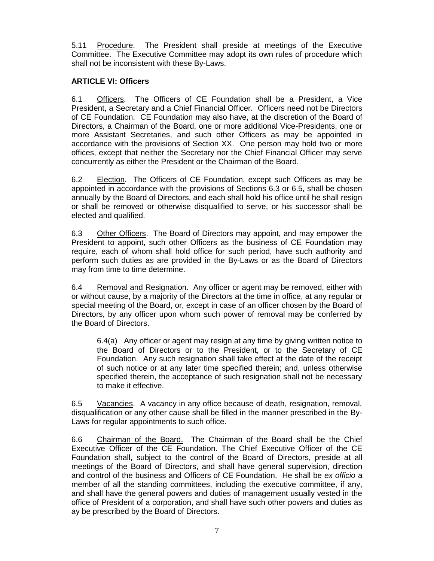5.11 Procedure. The President shall preside at meetings of the Executive Committee. The Executive Committee may adopt its own rules of procedure which shall not be inconsistent with these By-Laws.

# **ARTICLE VI: Officers**

6.1 Officers. The Officers of CE Foundation shall be a President, a Vice President, a Secretary and a Chief Financial Officer. Officers need not be Directors of CE Foundation. CE Foundation may also have, at the discretion of the Board of Directors, a Chairman of the Board, one or more additional Vice-Presidents, one or more Assistant Secretaries, and such other Officers as may be appointed in accordance with the provisions of Section XX. One person may hold two or more offices, except that neither the Secretary nor the Chief Financial Officer may serve concurrently as either the President or the Chairman of the Board.

6.2 Election. The Officers of CE Foundation, except such Officers as may be appointed in accordance with the provisions of Sections 6.3 or 6.5, shall be chosen annually by the Board of Directors, and each shall hold his office until he shall resign or shall be removed or otherwise disqualified to serve, or his successor shall be elected and qualified.

6.3 Other Officers. The Board of Directors may appoint, and may empower the President to appoint, such other Officers as the business of CE Foundation may require, each of whom shall hold office for such period, have such authority and perform such duties as are provided in the By-Laws or as the Board of Directors may from time to time determine.

6.4 Removal and Resignation. Any officer or agent may be removed, either with or without cause, by a majority of the Directors at the time in office, at any regular or special meeting of the Board, or, except in case of an officer chosen by the Board of Directors, by any officer upon whom such power of removal may be conferred by the Board of Directors.

6.4(a) Any officer or agent may resign at any time by giving written notice to the Board of Directors or to the President, or to the Secretary of CE Foundation. Any such resignation shall take effect at the date of the receipt of such notice or at any later time specified therein; and, unless otherwise specified therein, the acceptance of such resignation shall not be necessary to make it effective.

6.5 Vacancies. A vacancy in any office because of death, resignation, removal, disqualification or any other cause shall be filled in the manner prescribed in the By-Laws for regular appointments to such office.

6.6 Chairman of the Board. The Chairman of the Board shall be the Chief Executive Officer of the CE Foundation. The Chief Executive Officer of the CE Foundation shall, subject to the control of the Board of Directors, preside at all meetings of the Board of Directors, and shall have general supervision, direction and control of the business and Officers of CE Foundation. He shall be *ex officio* a member of all the standing committees, including the executive committee, if any, and shall have the general powers and duties of management usually vested in the office of President of a corporation, and shall have such other powers and duties as ay be prescribed by the Board of Directors.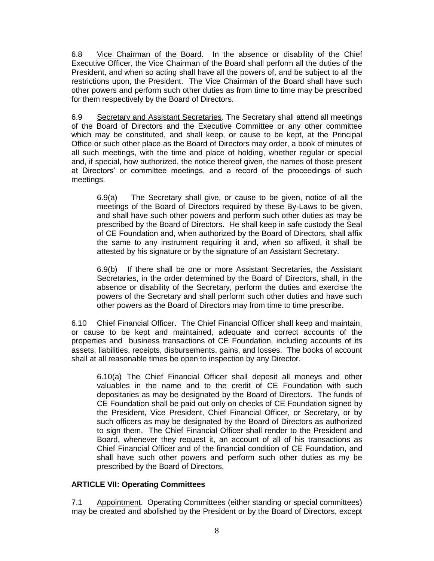6.8 Vice Chairman of the Board. In the absence or disability of the Chief Executive Officer, the Vice Chairman of the Board shall perform all the duties of the President, and when so acting shall have all the powers of, and be subject to all the restrictions upon, the President. The Vice Chairman of the Board shall have such other powers and perform such other duties as from time to time may be prescribed for them respectively by the Board of Directors.

6.9 Secretary and Assistant Secretaries. The Secretary shall attend all meetings of the Board of Directors and the Executive Committee or any other committee which may be constituted, and shall keep, or cause to be kept, at the Principal Office or such other place as the Board of Directors may order, a book of minutes of all such meetings, with the time and place of holding, whether regular or special and, if special, how authorized, the notice thereof given, the names of those present at Directors' or committee meetings, and a record of the proceedings of such meetings.

6.9(a) The Secretary shall give, or cause to be given, notice of all the meetings of the Board of Directors required by these By-Laws to be given, and shall have such other powers and perform such other duties as may be prescribed by the Board of Directors. He shall keep in safe custody the Seal of CE Foundation and, when authorized by the Board of Directors, shall affix the same to any instrument requiring it and, when so affixed, it shall be attested by his signature or by the signature of an Assistant Secretary.

6.9(b) If there shall be one or more Assistant Secretaries, the Assistant Secretaries, in the order determined by the Board of Directors, shall, in the absence or disability of the Secretary, perform the duties and exercise the powers of the Secretary and shall perform such other duties and have such other powers as the Board of Directors may from time to time prescribe.

6.10 Chief Financial Officer. The Chief Financial Officer shall keep and maintain, or cause to be kept and maintained, adequate and correct accounts of the properties and business transactions of CE Foundation, including accounts of its assets, liabilities, receipts, disbursements, gains, and losses. The books of account shall at all reasonable times be open to inspection by any Director.

6.10(a) The Chief Financial Officer shall deposit all moneys and other valuables in the name and to the credit of CE Foundation with such depositaries as may be designated by the Board of Directors. The funds of CE Foundation shall be paid out only on checks of CE Foundation signed by the President, Vice President, Chief Financial Officer, or Secretary, or by such officers as may be designated by the Board of Directors as authorized to sign them. The Chief Financial Officer shall render to the President and Board, whenever they request it, an account of all of his transactions as Chief Financial Officer and of the financial condition of CE Foundation, and shall have such other powers and perform such other duties as my be prescribed by the Board of Directors.

### **ARTICLE VII: Operating Committees**

7.1 Appointment. Operating Committees (either standing or special committees) may be created and abolished by the President or by the Board of Directors, except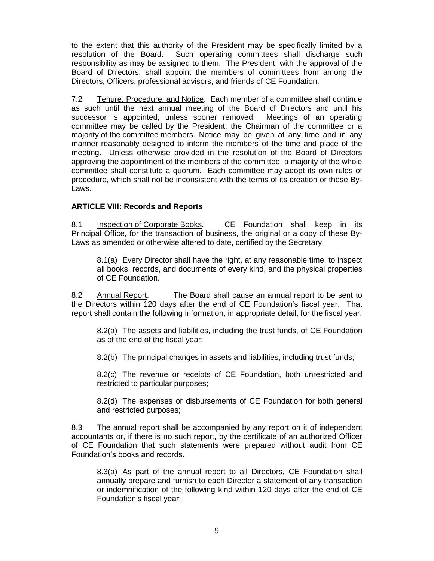to the extent that this authority of the President may be specifically limited by a resolution of the Board. Such operating committees shall discharge such responsibility as may be assigned to them. The President, with the approval of the Board of Directors, shall appoint the members of committees from among the Directors, Officers, professional advisors, and friends of CE Foundation.

7.2 Tenure, Procedure, and Notice. Each member of a committee shall continue as such until the next annual meeting of the Board of Directors and until his successor is appointed, unless sooner removed. Meetings of an operating committee may be called by the President, the Chairman of the committee or a majority of the committee members. Notice may be given at any time and in any manner reasonably designed to inform the members of the time and place of the meeting. Unless otherwise provided in the resolution of the Board of Directors approving the appointment of the members of the committee, a majority of the whole committee shall constitute a quorum. Each committee may adopt its own rules of procedure, which shall not be inconsistent with the terms of its creation or these By-Laws.

### **ARTICLE VIII: Records and Reports**

8.1 Inspection of Corporate Books. CE Foundation shall keep in its Principal Office, for the transaction of business, the original or a copy of these By-Laws as amended or otherwise altered to date, certified by the Secretary.

8.1(a) Every Director shall have the right, at any reasonable time, to inspect all books, records, and documents of every kind, and the physical properties of CE Foundation.

8.2 Annual Report. The Board shall cause an annual report to be sent to the Directors within 120 days after the end of CE Foundation's fiscal year. That report shall contain the following information, in appropriate detail, for the fiscal year:

8.2(a) The assets and liabilities, including the trust funds, of CE Foundation as of the end of the fiscal year;

8.2(b) The principal changes in assets and liabilities, including trust funds;

8.2(c) The revenue or receipts of CE Foundation, both unrestricted and restricted to particular purposes;

8.2(d) The expenses or disbursements of CE Foundation for both general and restricted purposes;

8.3 The annual report shall be accompanied by any report on it of independent accountants or, if there is no such report, by the certificate of an authorized Officer of CE Foundation that such statements were prepared without audit from CE Foundation's books and records.

8.3(a) As part of the annual report to all Directors, CE Foundation shall annually prepare and furnish to each Director a statement of any transaction or indemnification of the following kind within 120 days after the end of CE Foundation's fiscal year: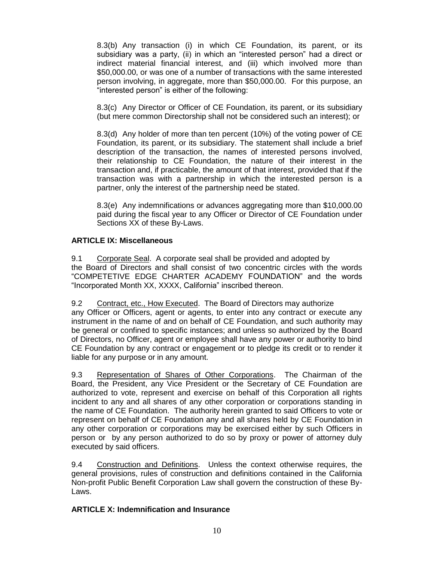8.3(b) Any transaction (i) in which CE Foundation, its parent, or its subsidiary was a party, (ii) in which an "interested person" had a direct or indirect material financial interest, and (iii) which involved more than \$50,000.00, or was one of a number of transactions with the same interested person involving, in aggregate, more than \$50,000.00. For this purpose, an "interested person" is either of the following:

8.3(c) Any Director or Officer of CE Foundation, its parent, or its subsidiary (but mere common Directorship shall not be considered such an interest); or

8.3(d) Any holder of more than ten percent (10%) of the voting power of CE Foundation, its parent, or its subsidiary. The statement shall include a brief description of the transaction, the names of interested persons involved, their relationship to CE Foundation, the nature of their interest in the transaction and, if practicable, the amount of that interest, provided that if the transaction was with a partnership in which the interested person is a partner, only the interest of the partnership need be stated.

8.3(e) Any indemnifications or advances aggregating more than \$10,000.00 paid during the fiscal year to any Officer or Director of CE Foundation under Sections XX of these By-Laws.

#### **ARTICLE IX: Miscellaneous**

9.1 Corporate Seal. A corporate seal shall be provided and adopted by the Board of Directors and shall consist of two concentric circles with the words "COMPETETIVE EDGE CHARTER ACADEMY FOUNDATION" and the words "Incorporated Month XX, XXXX, California" inscribed thereon.

9.2 Contract, etc., How Executed. The Board of Directors may authorize any Officer or Officers, agent or agents, to enter into any contract or execute any instrument in the name of and on behalf of CE Foundation, and such authority may be general or confined to specific instances; and unless so authorized by the Board of Directors, no Officer, agent or employee shall have any power or authority to bind CE Foundation by any contract or engagement or to pledge its credit or to render it liable for any purpose or in any amount.

9.3 Representation of Shares of Other Corporations. The Chairman of the Board, the President, any Vice President or the Secretary of CE Foundation are authorized to vote, represent and exercise on behalf of this Corporation all rights incident to any and all shares of any other corporation or corporations standing in the name of CE Foundation. The authority herein granted to said Officers to vote or represent on behalf of CE Foundation any and all shares held by CE Foundation in any other corporation or corporations may be exercised either by such Officers in person or by any person authorized to do so by proxy or power of attorney duly executed by said officers.

9.4 Construction and Definitions. Unless the context otherwise requires, the general provisions, rules of construction and definitions contained in the California Non-profit Public Benefit Corporation Law shall govern the construction of these By-Laws.

### **ARTICLE X: Indemnification and Insurance**